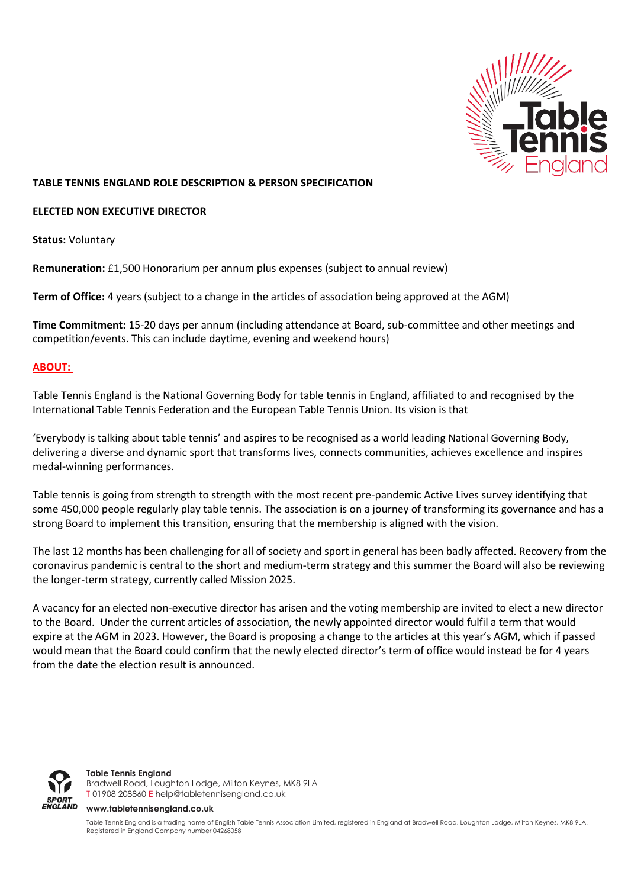

## **TABLE TENNIS ENGLAND ROLE DESCRIPTION & PERSON SPECIFICATION**

## **ELECTED NON EXECUTIVE DIRECTOR**

**Status:** Voluntary

**Remuneration:** £1,500 Honorarium per annum plus expenses (subject to annual review)

**Term of Office:** 4 years (subject to a change in the articles of association being approved at the AGM)

**Time Commitment:** 15-20 days per annum (including attendance at Board, sub-committee and other meetings and competition/events. This can include daytime, evening and weekend hours)

# **ABOUT:**

Table Tennis England is the National Governing Body for table tennis in England, affiliated to and recognised by the International Table Tennis Federation and the European Table Tennis Union. Its vision is that

'Everybody is talking about table tennis' and aspires to be recognised as a world leading National Governing Body, delivering a diverse and dynamic sport that transforms lives, connects communities, achieves excellence and inspires medal-winning performances.

Table tennis is going from strength to strength with the most recent pre-pandemic Active Lives survey identifying that some 450,000 people regularly play table tennis. The association is on a journey of transforming its governance and has a strong Board to implement this transition, ensuring that the membership is aligned with the vision.

The last 12 months has been challenging for all of society and sport in general has been badly affected. Recovery from the coronavirus pandemic is central to the short and medium-term strategy and this summer the Board will also be reviewing the longer-term strategy, currently called Mission 2025.

A vacancy for an elected non-executive director has arisen and the voting membership are invited to elect a new director to the Board. Under the current articles of association, the newly appointed director would fulfil a term that would expire at the AGM in 2023. However, the Board is proposing a change to the articles at this year's AGM, which if passed would mean that the Board could confirm that the newly elected director's term of office would instead be for 4 years from the date the election result is announced.



**Table Tennis England** Bradwell Road, Loughton Lodge, Milton Keynes, MK8 9LA T 01908 208860 [E help@tabletennisengland.co.uk](mailto:help@tabletennisengland.co.uk)

**[www.tabletennisengland.co.uk](http://www.tabletennisengland.co.uk/)**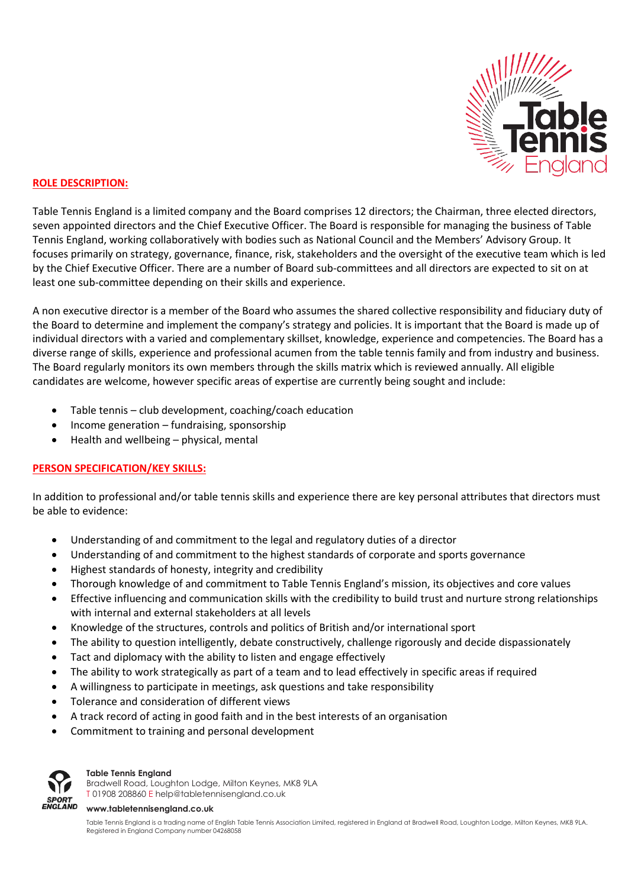

# **ROLE DESCRIPTION:**

Table Tennis England is a limited company and the Board comprises 12 directors; the Chairman, three elected directors, seven appointed directors and the Chief Executive Officer. The Board is responsible for managing the business of Table Tennis England, working collaboratively with bodies such as National Council and the Members' Advisory Group. It focuses primarily on strategy, governance, finance, risk, stakeholders and the oversight of the executive team which is led by the Chief Executive Officer. There are a number of Board sub-committees and all directors are expected to sit on at least one sub-committee depending on their skills and experience.

A non executive director is a member of the Board who assumes the shared collective responsibility and fiduciary duty of the Board to determine and implement the company's strategy and policies. It is important that the Board is made up of individual directors with a varied and complementary skillset, knowledge, experience and competencies. The Board has a diverse range of skills, experience and professional acumen from the table tennis family and from industry and business. The Board regularly monitors its own members through the skills matrix which is reviewed annually. All eligible candidates are welcome, however specific areas of expertise are currently being sought and include:

- Table tennis club development, coaching/coach education
- Income generation fundraising, sponsorship
- Health and wellbeing physical, mental

# **PERSON SPECIFICATION/KEY SKILLS:**

In addition to professional and/or table tennis skills and experience there are key personal attributes that directors must be able to evidence:

- Understanding of and commitment to the legal and regulatory duties of a director
- Understanding of and commitment to the highest standards of corporate and sports governance
- Highest standards of honesty, integrity and credibility
- Thorough knowledge of and commitment to Table Tennis England's mission, its objectives and core values
- Effective influencing and communication skills with the credibility to build trust and nurture strong relationships with internal and external stakeholders at all levels
- Knowledge of the structures, controls and politics of British and/or international sport
- The ability to question intelligently, debate constructively, challenge rigorously and decide dispassionately
- Tact and diplomacy with the ability to listen and engage effectively
- The ability to work strategically as part of a team and to lead effectively in specific areas if required
- A willingness to participate in meetings, ask questions and take responsibility
- Tolerance and consideration of different views
- A track record of acting in good faith and in the best interests of an organisation
- Commitment to training and personal development



### **Table Tennis England**

Bradwell Road, Loughton Lodge, Milton Keynes, MK8 9LA T 01908 208860 [E help@tabletennisengland.co.uk](mailto:help@tabletennisengland.co.uk)

#### **[www.tabletennisengland.co.uk](http://www.tabletennisengland.co.uk/)**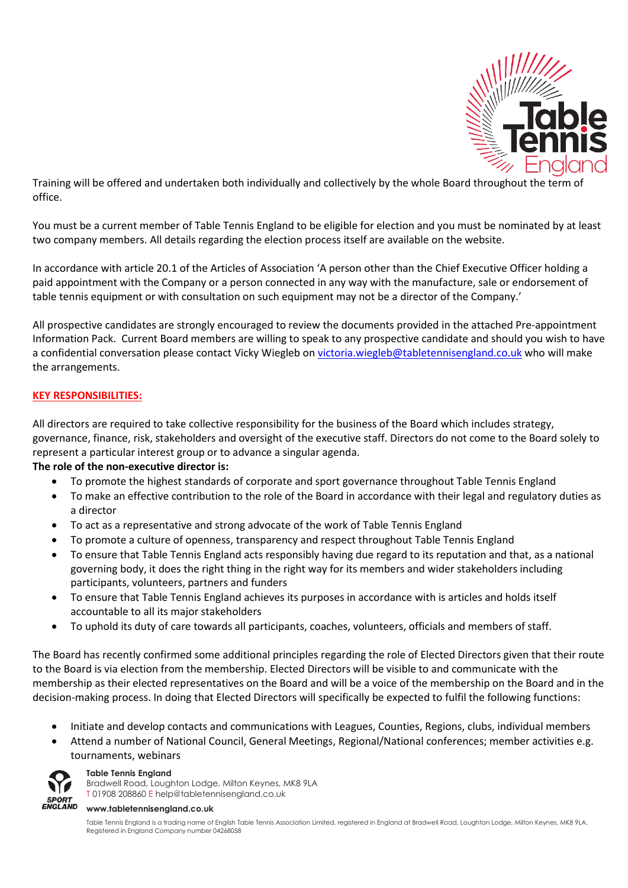

Training will be offered and undertaken both individually and collectively by the whole Board throughout the term of office.

You must be a current member of Table Tennis England to be eligible for election and you must be nominated by at least two company members. All details regarding the election process itself are available on the website.

In accordance with article 20.1 of the Articles of Association 'A person other than the Chief Executive Officer holding a paid appointment with the Company or a person connected in any way with the manufacture, sale or endorsement of table tennis equipment or with consultation on such equipment may not be a director of the Company.'

All prospective candidates are strongly encouraged to review the documents provided in the attached Pre-appointment Information Pack. Current Board members are willing to speak to any prospective candidate and should you wish to have a confidential conversation please contact Vicky Wiegleb on [victoria.wiegleb@tabletennisengland.co.uk](mailto:victoria.wiegleb@tabletennisengland.co.uk) who will make the arrangements.

# **KEY RESPONSIBILITIES:**

All directors are required to take collective responsibility for the business of the Board which includes strategy, governance, finance, risk, stakeholders and oversight of the executive staff. Directors do not come to the Board solely to represent a particular interest group or to advance a singular agenda.

# **The role of the non-executive director is:**

- To promote the highest standards of corporate and sport governance throughout Table Tennis England
- To make an effective contribution to the role of the Board in accordance with their legal and regulatory duties as a director
- To act as a representative and strong advocate of the work of Table Tennis England
- To promote a culture of openness, transparency and respect throughout Table Tennis England
- To ensure that Table Tennis England acts responsibly having due regard to its reputation and that, as a national governing body, it does the right thing in the right way for its members and wider stakeholders including participants, volunteers, partners and funders
- To ensure that Table Tennis England achieves its purposes in accordance with is articles and holds itself accountable to all its major stakeholders
- To uphold its duty of care towards all participants, coaches, volunteers, officials and members of staff.

The Board has recently confirmed some additional principles regarding the role of Elected Directors given that their route to the Board is via election from the membership. Elected Directors will be visible to and communicate with the membership as their elected representatives on the Board and will be a voice of the membership on the Board and in the decision-making process. In doing that Elected Directors will specifically be expected to fulfil the following functions:

- Initiate and develop contacts and communications with Leagues, Counties, Regions, clubs, individual members
- Attend a number of National Council, General Meetings, Regional/National conferences; member activities e.g. tournaments, webinars



### Bradwell Road, Loughton Lodge, Milton Keynes, MK8 9LA T 01908 208860 [E help@tabletennisengland.co.uk](mailto:help@tabletennisengland.co.uk)

**Table Tennis England**

**[www.tabletennisengland.co.uk](http://www.tabletennisengland.co.uk/)**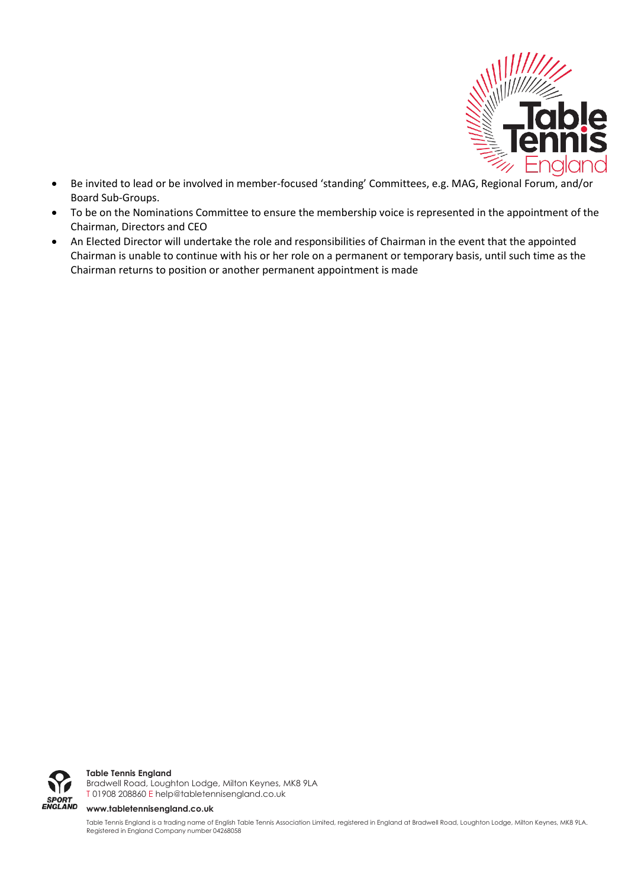

- Be invited to lead or be involved in member-focused 'standing' Committees, e.g. MAG, Regional Forum, and/or Board Sub-Groups.
- To be on the Nominations Committee to ensure the membership voice is represented in the appointment of the Chairman, Directors and CEO
- An Elected Director will undertake the role and responsibilities of Chairman in the event that the appointed Chairman is unable to continue with his or her role on a permanent or temporary basis, until such time as the Chairman returns to position or another permanent appointment is made



**Table Tennis England**

Bradwell Road, Loughton Lodge, Milton Keynes, MK8 9LA T 01908 208860 [E help@tabletennisengland.co.uk](mailto:help@tabletennisengland.co.uk)

#### **[www.tabletennisengland.co.uk](http://www.tabletennisengland.co.uk/)**